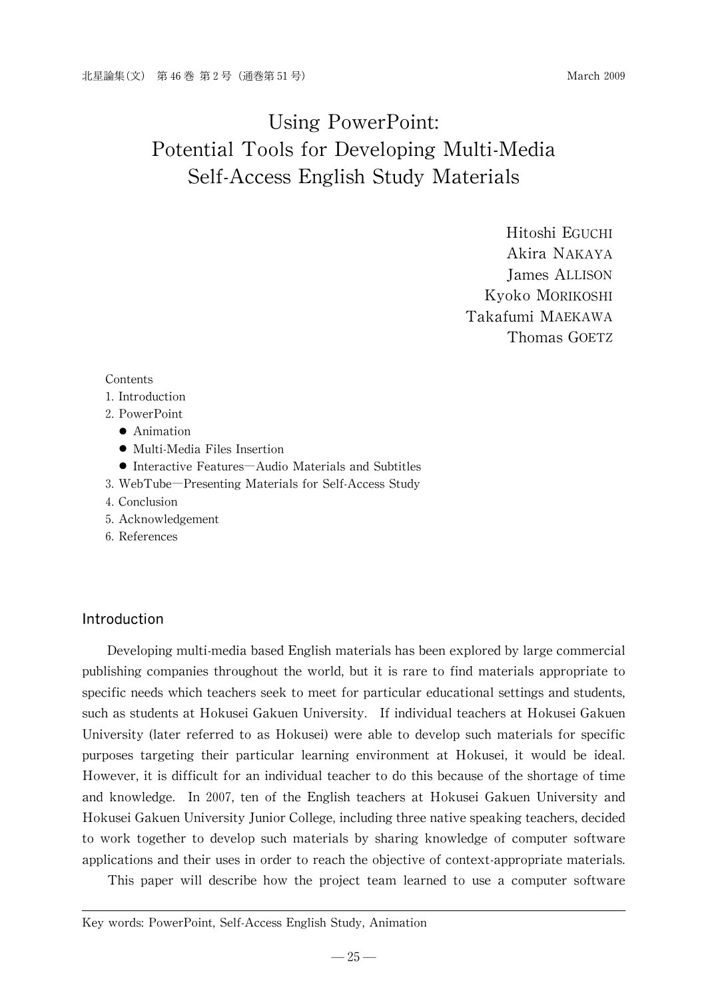Hitoshi EGUCHI Akira NAKAYA James ALLISON Kyoko MORIKOSHI Takafumi MAEKAWA Thomas GOETZ

#### Contents

- 1. Introduction
- 2.PowerPoint
	- Animation
	- Multi-Media Files Insertion
	- Interactive Features Audio Materials and Subtitles
- 3.WebTube―Presenting Materials for Self-Access Study
- 4.Conclusion
- 5.Acknowledgement
- 6.References

#### Introduction

Developing multi-media based English materials has been explored by large commercial publishing companies throughout the world, but it is rare to find materials appropriate to specific needs which teachers seek to meet for particular educational settings and students, such as students at Hokusei Gakuen University. Ifindividual teachers at Hokusei Gakuen University (later referred to as Hokusei) were able to develop such materials for specific purposes targeting their particular learning environment at Hokusei, it would be ideal. However, it is difficult for an individual teacher to do this because of the shortage of time and knowledge. In 2007, ten of the English teachers at Hokusei Gakuen University and Hokusei Gakuen University Junior College, including three native speaking teachers, decided to work together to develop such materials by sharing knowledge of computer software applications and their uses in order to reach the objective of context-appropriate materials.

This paper will describe how the project team learned to use a computer software

Key words: PowerPoint, Self-Access English Study, Animation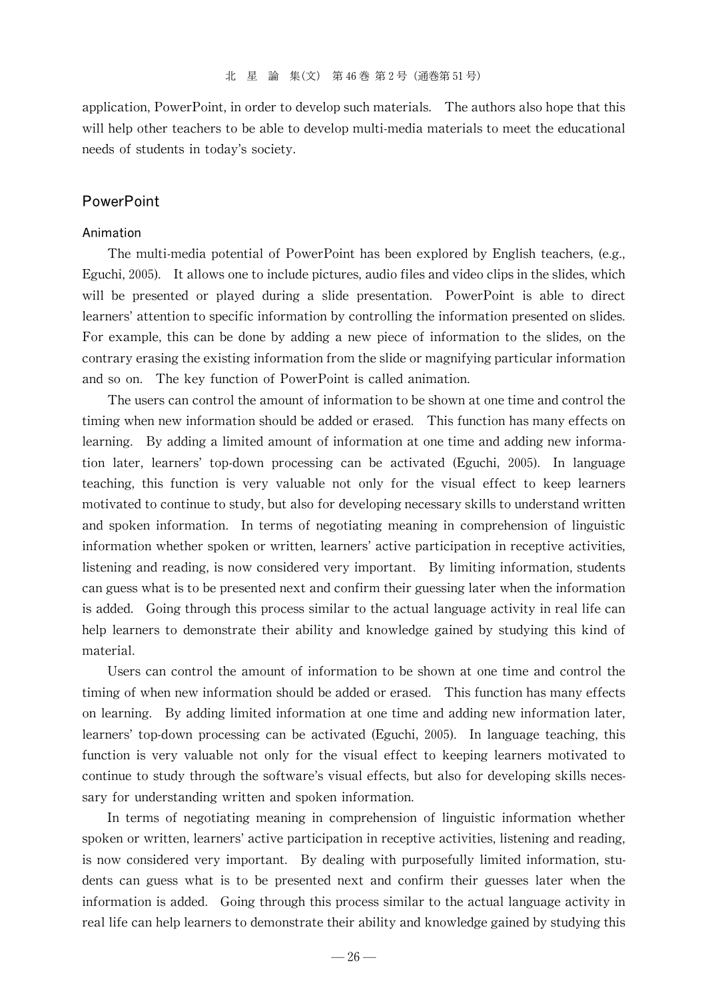application, PowerPoint, in order to develop such materials. The authors also hope that this will help other teachers to be able to develop multi-media materials to meet the educational needs of students in today's society.

#### **PowerPoint**

#### Animation

The multi-media potential of PowerPoint has been explored by English teachers, (e.g., Eguchi, 2005). It allows one to include pictures, audio files and video clips in the slides, which will be presented or played during a slide presentation. PowerPoint is able to direct learners' attention to specific information by controlling the information presented on slides. For example, this can be done by adding a new piece of information to the slides, on the contrary erasing the existing information from the slide or magnifying particular information and so on. The key function of PowerPoint is called animation.

The users can control the amount of information to be shown at one time and control the timing when new information should be added or erased. This function has many effects on learning. By adding a limited amount of information at one time and adding new information later, learners'top-down processing can be activated (Eguchi, 2005). In language teaching, this function is very valuable not only for the visual effect to keep learners motivated to continue to study, but also for developing necessary skills to understand written and spoken information. In terms of negotiating meaning in comprehension of linguistic information whether spoken or written, learners' active participation in receptive activities, listening and reading, is now considered very important. By limiting information, students can guess what is to be presented next and confirm their guessing later when the information is added. Going through this process similar to the actual language activity in real life can help learners to demonstrate their ability and knowledge gained by studying this kind of material.

Users can control the amount of information to be shown at one time and control the timing of when new information should be added or erased. This function has many effects on learning. By adding limited information at one time and adding new information later, learners' top-down processing can be activated (Eguchi, 2005). In language teaching, this function is very valuable not only for the visual effect to keeping learners motivated to continue to study through the software's visual effects, but also for developing skills necessary for understanding written and spoken information.

In terms of negotiating meaning in comprehension of linguistic information whether spoken or written, learners' active participation in receptive activities, listening and reading, is now considered very important. By dealing with purposefully limited information, students can guess what is to be presented next and confirm their guesses later when the information is added. Going through this process similar to the actual language activity in real life can help learners to demonstrate their ability and knowledge gained by studying this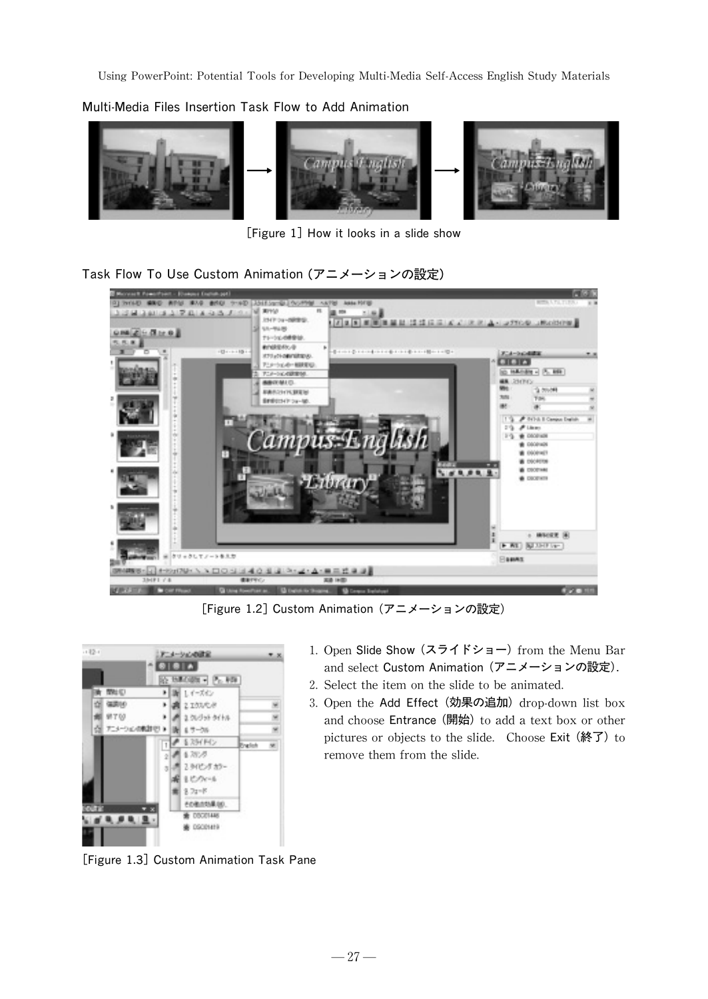Multi-Media Files Insertion Task Flowto Add Animation



[Figure 1] How it looks in a slide show

Task FlowTo Use Custom Animation (アニメーションの設定)



[Figure 1.2] Custom Animation (アニメーションの設定)



1. Open Slide Show (スライドショー) from the Menu Bar and select Custom Animation (アニメーションの設定).

- 2. Select the item on the slide to be animated.
- 3. Open the Add Effect (効果の追加) drop-down list box and choose Entrance (開始) to add a text box or other pictures or objects to the slide. Choose Exit (終了) to remove them from the slide.

[Figure 1.3] Custom Animation Task Pane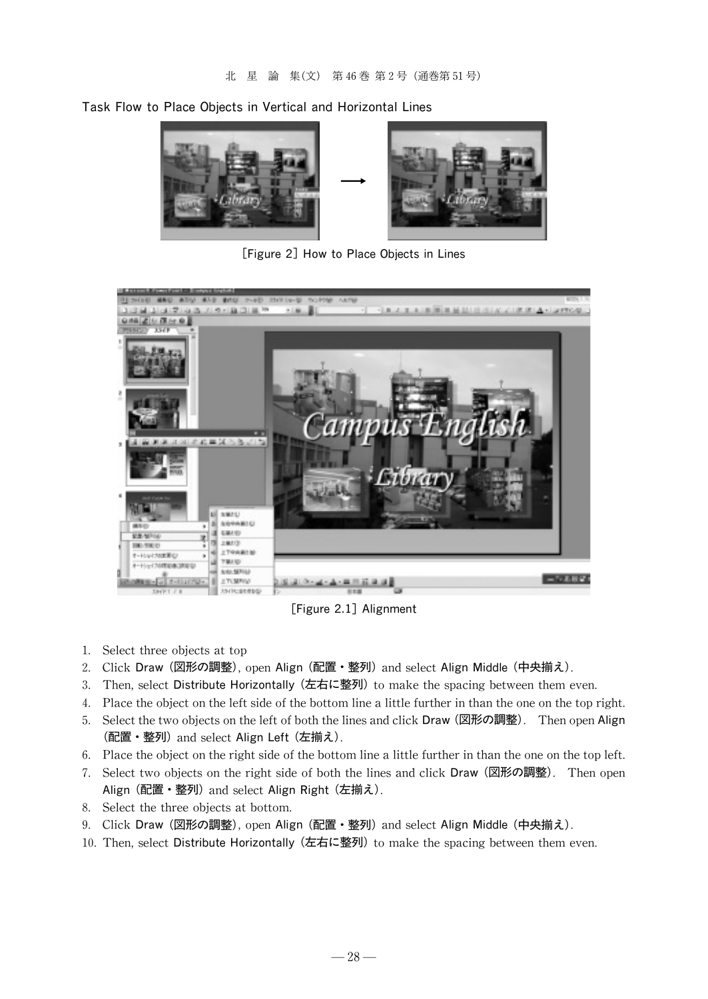Task Flow to Place Objects in Vertical and Horizontal Lines



[Figure 2] How to Place Objects in Lines



[Figure 2.1]Alignment

- 1. Select three objects at top
- 2. Click Draw (図形の調整), open Align (配置・整列) and select Align Middle (中央揃え).
- 3. Then, select Distribute Horizontally (左右に整列) to make the spacing between them even.
- 4. Place the object on the left side of the bottom line a little further in than the one on the top right.
- 5. Select the two objects on the left of both the lines and click Draw (図形の調整). Then open Align (配置・整列)and select Align Left (左揃え).
- 6. Place the object on the right side of the bottom line a little further in than the one on the top left.
- 7. Select two objects on the right side of both the lines and click Draw(図形の調整). Then open Align (配置・整列) and select Align Right (左揃え).
- 8. Select the three objects at bottom.
- 9. Click Draw (図形の調整), open Align (配置・整列) and select Align Middle (中央揃え).
- 10. Then, select Distribute Horizontally (左右に整列) to make the spacing between them even.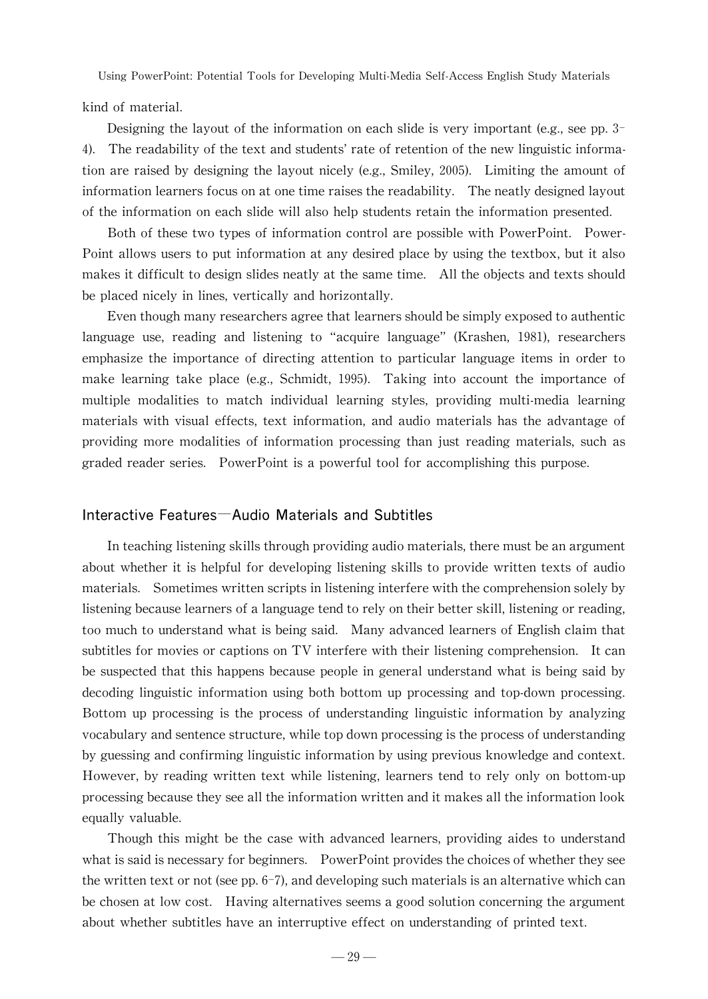kind of material.

Designing the layout of the information on each slide is very important (e.g., see pp.  $3-$ 4). The readability of the text and students' rate of retention of the new linguistic information are raised by designing the layout nicely (e.g., Smiley, 2005). Limiting the amount of information learners focus on at one time raises the readability. The neatly designed layout of the information on each slide will also help students retain the information presented.

Both of these two types of information control are possible with PowerPoint. Power-Point allows users to put information at any desired place by using the textbox, but it also makes it difficult to design slides neatly at the same time. All the objects and texts should be placed nicely in lines, vertically and horizontally.

Even though many researchers agree that learners should be simply exposed to authentic language use, reading and listening to "acquire language"(Krashen, 1981), researchers emphasize the importance of directing attention to particular language items in order to make learning take place (e.g., Schmidt, 1995). Taking into account the importance of multiple modalities to match individual learning styles, providing multi-media learning materials with visual effects, text information, and audio materials has the advantage of providing more modalities of information processing than just reading materials, such as graded reader series. PowerPoint is a powerful tool for accomplishing this purpose.

#### Interactive Features―Audio Materials and Subtitles

In teaching listening skills through providing audiomaterials, there must be an argument about whether it is helpful for developing listening skills to provide written texts of audio materials. Sometimes written scripts in listening interfere with the comprehension solely by listening because learners of a language tend to rely on their better skill, listening or reading, too much to understand what is being said. Manyadvanced learners of English claim that subtitles for movies or captions on TV interfere with their listening comprehension. It can be suspected that this happens because people in general understand what is being said by decoding linguistic information using both bottom up processing and top-down processing. Bottom up processing is the process of understanding linguistic information by analyzing vocabulary and sentence structure, while top down processing is the process of understanding by guessing and confirming linguistic information by using previous knowledge and context. However, by reading written text while listening, learners tend to rely only on bottom-up processing because they see all the information written and it makes all the information look equally valuable.

Though this might be the case with advanced learners, providing aides to understand what is said is necessary for beginners. PowerPoint provides the choices of whether they see the written text or not (see pp.  $6-7$ ), and developing such materials is an alternative which can be chosen at low cost. Having alternatives seems a good solution concerning the argument about whether subtitles have an interruptive effect on understanding of printed text.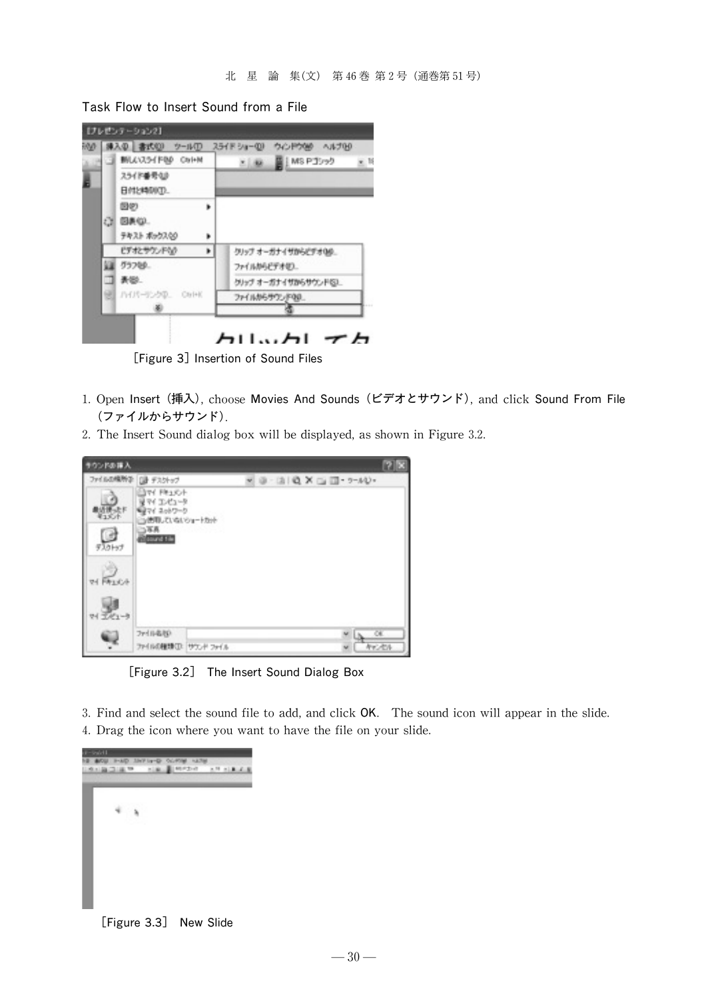Task Flow to Insert Sound from a File



[Figure 3] Insertion of Sound Files

- 1. Open Insert (挿入), choose Movies And Sounds (ビデオとサウンド), and click Sound From File (ファイルからサウンド).
- 2. The Insert Sound dialog box will be displayed, as shown in Figure 3.2.

| キウンドの挿入      |                                                                             |                             | <b>7 X</b>      |
|--------------|-----------------------------------------------------------------------------|-----------------------------|-----------------|
|              | ファイルの情報学 コンテップ                                                              | 9 - 13   Q X (2 13 - 7-AU - |                 |
| 電話<br>デスクトップ | TV FR1XV<br>マイ エンピュータ<br>ミマイ スットワーク<br>当然用していないショートカット<br>5耳真<br>count tile |                             |                 |
| W FALCA      |                                                                             |                             |                 |
| デビュータ        |                                                                             |                             |                 |
|              | ファイル名化P<br>ファイルの種類(D) サウンド ファイル                                             |                             | $\alpha$<br>标记标 |

[Figure 3.2] The Insert Sound Dialog Box

3. Find and select the sound file to add, and click OK. The sound icon will appear in the slide. 4. Drag the icon where you want to have the file on your slide.



[Figure 3.3] New Slide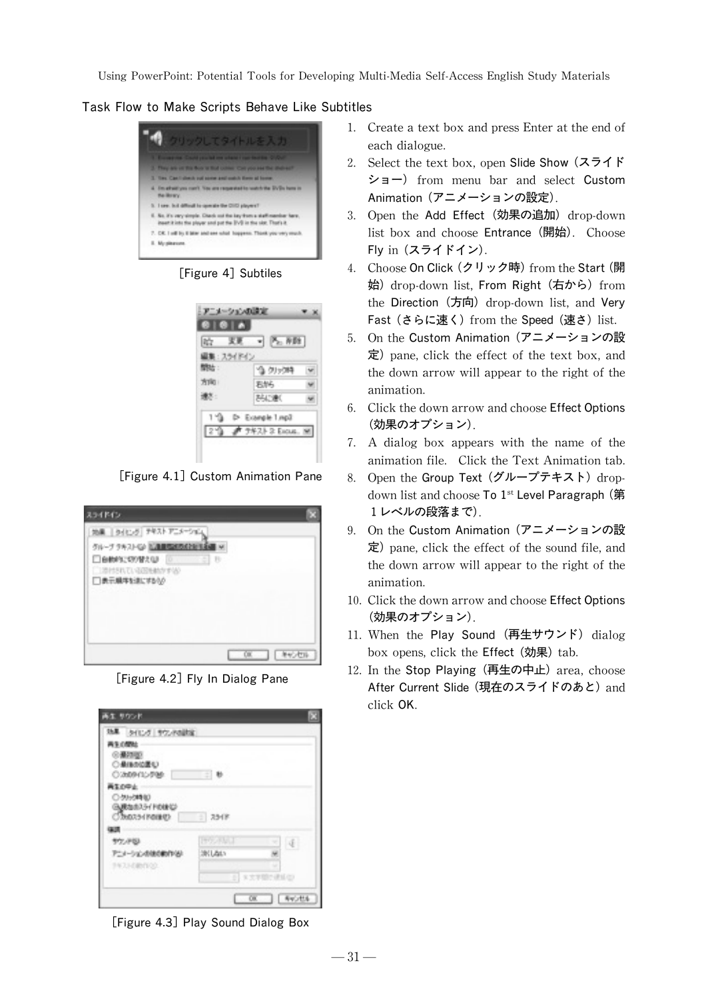Task Flow to Make Scripts Behave Like Subtitles



[Figure 4] Subtiles

| Ilib      | $ \sim$ $N22$   |  |
|-----------|-----------------|--|
| ■: スライドイン |                 |  |
| 開始:       | 当例の時            |  |
| 方面        | 我好!             |  |
| 速水:       | <b>PALSING</b>  |  |
|           | D Example 1 mp3 |  |

[Figure 4.1] Custom Animation Pane

| スライドイン                                                                                                             | ю         |
|--------------------------------------------------------------------------------------------------------------------|-----------|
| 地黒   ライヒッグ デキスト アニメーション<br>グループ クキストにい 加油機関の商品を知る場<br>□自動的に切り替え(は)   □<br>$-1.8$<br>当期付きれている国地動かする<br>□表示購率を進にするもの |           |
|                                                                                                                    | 00 年60 世际 |

[Figure 4.2] Fly In Dialog Pane

| 効果 タイヒグ サウンドの設定 |                    |
|-----------------|--------------------|
|                 |                    |
| $= 0$           |                    |
| $= 7548$        |                    |
|                 |                    |
| <b>ITOLOGIC</b> | $\vert \Phi \vert$ |
| 395 Library     |                    |
|                 |                    |
|                 |                    |
|                 |                    |

[Figure 4.3] Play Sound Dialog Box

- 1. Create a text box and press Enter at the end of each dialogue.
- 2. Select the text box, open Slide Show (スライド ショー) from menu bar and select Custom Animation (アニメーションの設定).
- 3. Open the Add Effect (効果の追加) drop-down list box and choose Entrance (開始). Choose Fly in (スライドイン).
- 4. Choose On Click (クリック時) from the Start (開 始) drop-down list, From Right (右から) from the Direction (方向) drop-down list, and Very Fast (さらに速く) from the Speed (速さ) list.
- 5. On the Custom Animation (アニメーションの設  $\hat{\pi}$ ) pane, click the effect of the text box, and the down arrow will appear to the right of the animation.
- 6. Click the down arrow and choose Effect Options (効果のオプション).
- 7. A dialog box appears with the name of the animation file. Click the Text Animation tab.
- 8. Open the Group Text (グループテキスト) dropdown list and choose To 1<sup>st</sup> Level Paragraph (第 1レベルの段落まで).
- 9. On the Custom Animation (アニメーションの設  $\bar{x}$ ) pane, click the effect of the sound file, and the down arrow will appear to the right of the animation.
- 10. Click the down arrow and choose Effect Options (効果のオプション).
- 11. When the Play Sound (再生サウンド) dialog box opens, click the **Effect** (効果) tab.
- 12. In the Stop Playing (再生の中止) area, choose After Current Slide (現在のスライドのあと) and click OK.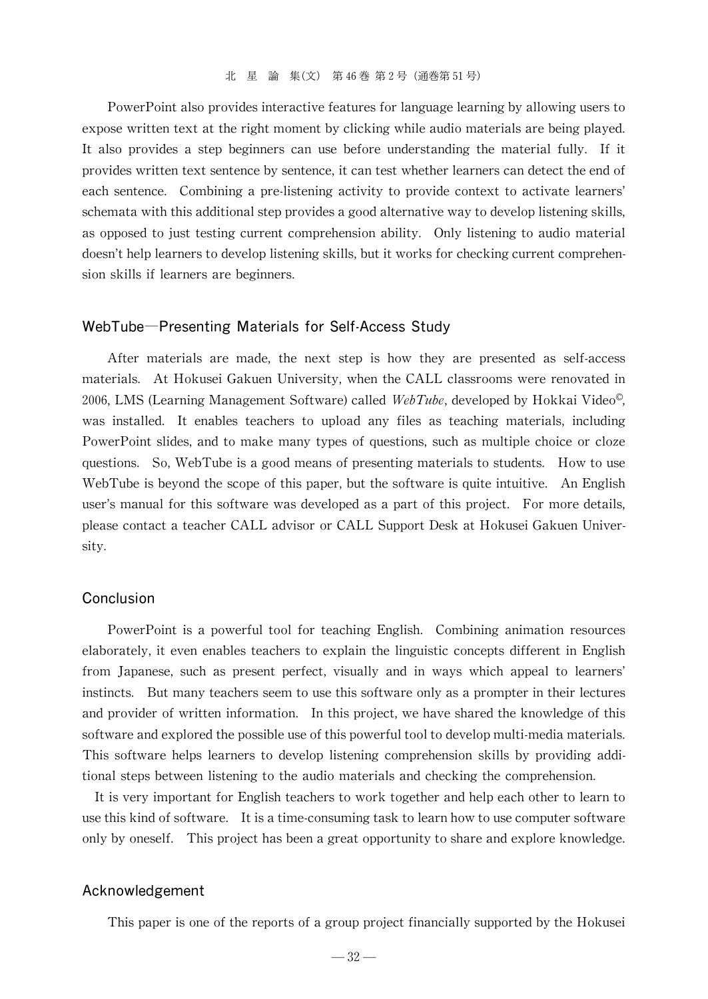PowerPoint also provides interactive features for language learning by allowing users to expose written text at the right moment by clicking while audio materials are being played. It also provides a step beginners can use before understanding the material fully. If it provides written text sentence by sentence, it can test whether learners can detect the end of each sentence. Combining a pre-listening activity to provide context to activate learners' schemata with this additional step provides a good alternative way to develop listening skills, as opposed to just testing current comprehension ability. Only listening to audio material doesn't help learners to develop listening skills, but it works for checking current comprehension skills if learners are beginners.

#### WebTube―Presenting Materials for Self-Access Study

After materials are made, the next step is how they are presented as self-access materials. At Hokusei Gakuen University, when the CALL classrooms were renovated in 2006, LMS (Learning Management Software) called WebTube, developed by Hokkai Video<sup>®</sup>, was installed. It enables teachers to upload any files as teaching materials, including PowerPoint slides, and to make many types of questions, such as multiple choice or cloze questions. So, WebTube is a good means of presenting materials to students. How to use WebTube is beyond the scope of this paper, but the software is quite intuitive. An English user's manual for this software was developed as a part of this project. For more details, please contact a teacher CALL advisor or CALL Support Desk at Hokusei Gakuen University.

#### Conclusion

PowerPoint is a powerful tool for teaching English. Combining animation resources elaborately, it even enables teachers to explain the linguistic concepts different in English from Japanese, such as present perfect, visually and in ways which appeal to learners' instincts. But many teachers seem to use this software only as a prompter in their lectures and provider of written information. In this project, we have shared the knowledge of this software and explored the possible use of this powerful tool to develop multi-media materials. This software helps learners to develop listening comprehension skills by providing additional steps between listening to the audio materials and checking the comprehension.

It is veryimportant for English teachers to work together and help each other to learn to use this kind of software. It is a time-consuming task to learn how to use computer software only by oneself. This project has been a great opportunity to share and explore knowledge.

#### Acknowledgement

This paper is one of the reports of a group project financially supported by the Hokusei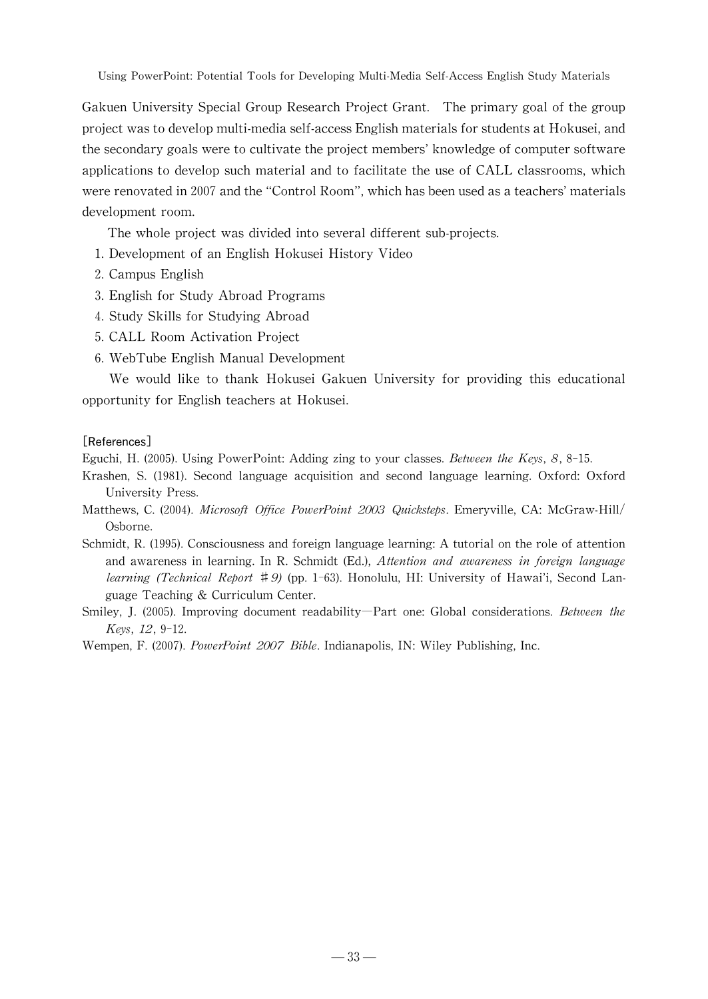Gakuen University Special Group Research Project Grant. The primarygoal ofthe group project wastodevelopmulti-mediaself-accessEnglishmaterialsforstudentsat Hokusei,and the secondary goals were to cultivate the project members' knowledge of computer software applications to develop such material and to facilitate the use of CALL classrooms, which were renovated in 2007 and the "Control Room", which has been used as a teachers' materials development room.

The whole project was divided into several different sub-projects.

- 1. Development of an English Hokusei History Video
- 2. Campus English
- 3. English for StudyAbroad Programs
- 4.Study Skills for Studying Abroad
- 5. CALL Room Activation Project
- 6.WebTube English Manual Development

We would like to thank Hokusei Gakuen University for providing this educational opportunity for English teachers at Hokusei.

#### [References]

Eguchi, H. (2005). Using PowerPoint: Adding zing to your classes. Between the Keys,  $8, 8$ -15.

Krashen, S. (1981). Second language acquisition and second language learning. Oxford: Oxford University Press.

Matthews, C. (2004). Microsoft Office PowerPoint 2003 Quicksteps. Emeryville, CA: McGraw-Hill/ Osborne.

- Schmidt, R. (1995). Consciousness and foreign language learning: A tutorial on the role of attention and awareness in learning. In R. Schmidt (Ed.), *Attention and awareness in foreign language learning (Technical Report*  $\sharp$ *9)* (pp. 1-63). Honolulu, HI: University of Hawai'i, Second Language Teaching & Curriculum Center.
- Smiley, J. (2005). Improving document readability—Part one: Global considerations. Between the Keys, 12, 9-12.

Wempen, F. (2007). PowerPoint 2007 Bible. Indianapolis, IN: Wiley Publishing, Inc.